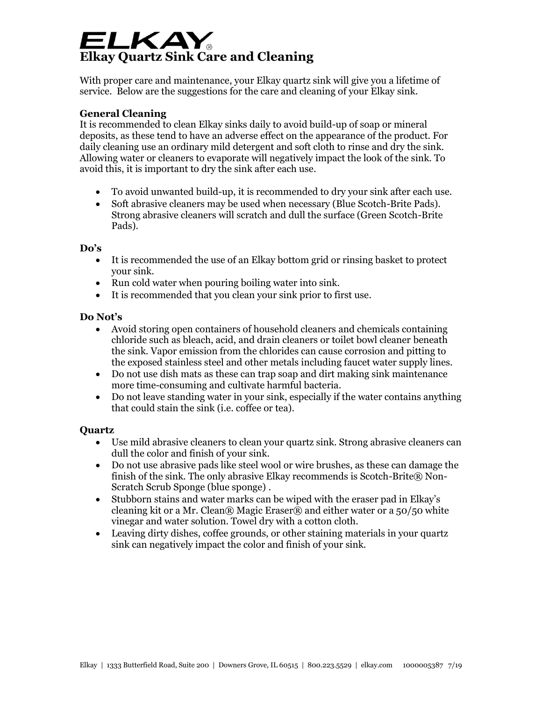# ELKAY **Elkay Quartz Sink Care and Cleaning**

With proper care and maintenance, your Elkay quartz sink will give you a lifetime of service. Below are the suggestions for the care and cleaning of your Elkay sink.

## **General Cleaning**

It is recommended to clean Elkay sinks daily to avoid build-up of soap or mineral deposits, as these tend to have an adverse effect on the appearance of the product. For daily cleaning use an ordinary mild detergent and soft cloth to rinse and dry the sink. Allowing water or cleaners to evaporate will negatively impact the look of the sink. To avoid this, it is important to dry the sink after each use.

- To avoid unwanted build-up, it is recommended to dry your sink after each use.
- Soft abrasive cleaners may be used when necessary (Blue Scotch-Brite Pads). Strong abrasive cleaners will scratch and dull the surface (Green Scotch-Brite Pads).

#### **Do's**

- It is recommended the use of an Elkay bottom grid or rinsing basket to protect your sink.
- Run cold water when pouring boiling water into sink.
- It is recommended that you clean your sink prior to first use.

### **Do Not's**

- Avoid storing open containers of household cleaners and chemicals containing chloride such as bleach, acid, and drain cleaners or toilet bowl cleaner beneath the sink. Vapor emission from the chlorides can cause corrosion and pitting to the exposed stainless steel and other metals including faucet water supply lines.
- Do not use dish mats as these can trap soap and dirt making sink maintenance more time-consuming and cultivate harmful bacteria.
- Do not leave standing water in your sink, especially if the water contains anything that could stain the sink (i.e. coffee or tea).

### **Quartz**

- Use mild abrasive cleaners to clean your quartz sink. Strong abrasive cleaners can dull the color and finish of your sink.
- Do not use abrasive pads like steel wool or wire brushes, as these can damage the finish of the sink. The only abrasive Elkay recommends is Scotch-Brite® Non-Scratch Scrub Sponge (blue sponge) .
- Stubborn stains and water marks can be wiped with the eraser pad in Elkay's cleaning kit or a Mr. Clean® Magic Eraser® and either water or a 50/50 white vinegar and water solution. Towel dry with a cotton cloth.
- Leaving dirty dishes, coffee grounds, or other staining materials in your quartz sink can negatively impact the color and finish of your sink.